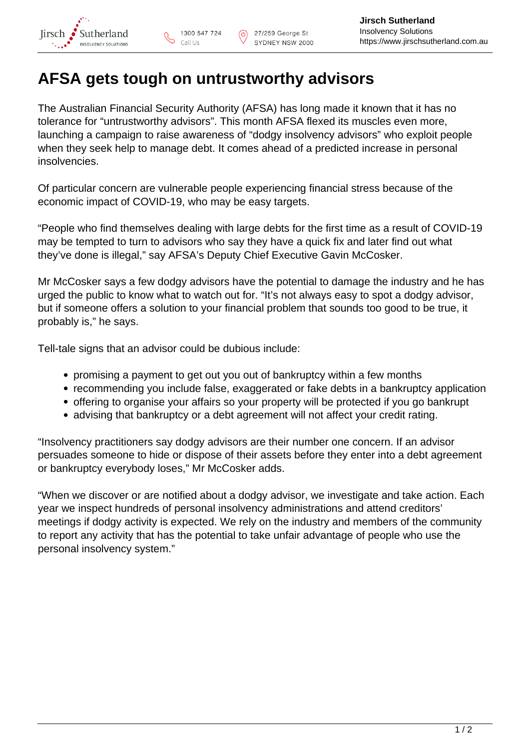

## **AFSA gets tough on untrustworthy advisors**

The Australian Financial Security Authority (AFSA) has long made it known that it has no tolerance for "untrustworthy advisors". This month AFSA flexed its muscles even more, launching a campaign to raise awareness of "dodgy insolvency advisors" who exploit people when they seek help to manage debt. It comes ahead of a predicted increase in personal insolvencies.

Of particular concern are vulnerable people experiencing financial stress because of the economic impact of COVID-19, who may be easy targets.

"People who find themselves dealing with large debts for the first time as a result of COVID-19 may be tempted to turn to advisors who say they have a quick fix and later find out what they've done is illegal," say AFSA's Deputy Chief Executive Gavin McCosker.

Mr McCosker says a few dodgy advisors have the potential to damage the industry and he has urged the public to know what to watch out for. "It's not always easy to spot a dodgy advisor, but if someone offers a solution to your financial problem that sounds too good to be true, it probably is," he says.

Tell-tale signs that an advisor could be dubious include:

- promising a payment to get out you out of bankruptcy within a few months
- recommending you include false, exaggerated or fake debts in a bankruptcy application
- offering to organise your affairs so your property will be protected if you go bankrupt
- advising that bankruptcy or a debt agreement will not affect your credit rating.

"Insolvency practitioners say dodgy advisors are their number one concern. If an advisor persuades someone to hide or dispose of their assets before they enter into a debt agreement or bankruptcy everybody loses," Mr McCosker adds.

"When we discover or are notified about a dodgy advisor, we investigate and take action. Each year we inspect hundreds of personal insolvency administrations and attend creditors' meetings if dodgy activity is expected. We rely on the industry and members of the community to report any activity that has the potential to take unfair advantage of people who use the personal insolvency system."